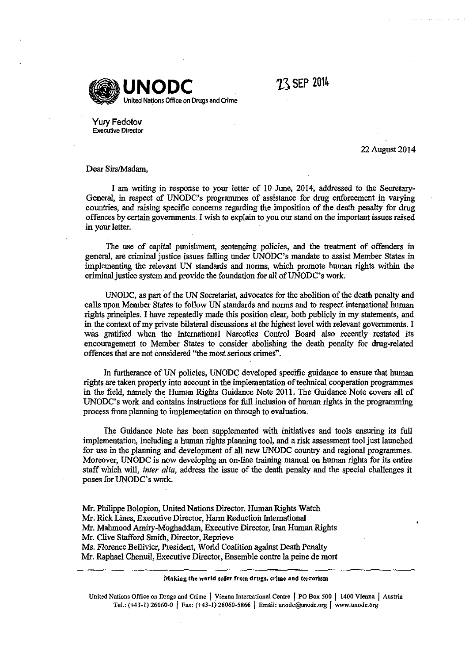

 $23$  SEP 2014

Yury Fedotov **Executive Director** 

22August2014

Dear Sirs/Madam,

I am writing in response to your letter of 10 June, 2014, addressed to the Secretary-General, in respect of UNODC's programmes of assistance for drug enforcement in varying countries, and raising specific concerns regarding the imposition of the death penalty for drug offences by certain governments. I wish to explain to you our stand on the important issues raised in your letter.

The use of capital punishment, sentencing policies, and the treatment of offenders in general, are criminal justice issues falling under UNODC's mandate to assist Member States in implementing the relevant UN standards and nonns, which promote human rights within the criminal justice system and provide the foundation for all of UNODC's work.

UNO DC, as part of the UN Secretariat, advocates for the abolition of the death penalty and calls upon Member States to follow UN standards and norms and to respect international human rights principles. I have repeatedly made this position clear, both publicly in my statements, and in the context of my private bilateral discussions at the highest level with relevant governments. I was gratified when the International Narcotics Control Board also recently restated its encouragement to Member States to consider abolishing the death penalty for drug-related offences that are not considered "the most serious crimes". ·

In furtherance of UN policies, UNODC developed specific guidance to ensure that human rights are taken properly into account in the implementation of technical cooperation programmes in the field, namely the Human Rights Guidance Note 2011. The Guidance Note covers all of UNODC's work and contains instructions for full inclusion of human rights in the programming process from planning to implementation on through to evaluation.

The Guidance Note has been supplemented with initiatives and tools ensuring its full implementation, including a human rights planning tool, and a risk assessment tool just launched for use in the planning and development of all new UNODC country and regional programmes. Moreover, UNODC is now developing an on-line training manual on human rights for its entire staff which will, *inter alia,* address the issue of the death penalty and the special challenges it poses for UNODC's work.

Mr. Philippe Bolopion, United Nations Director, Human Rights Watch Mr. Rick Lines, Executive Director, Harm Reduction International Mr. Malunood Amiry-Moghaddam, Executive Director, Iran Human Rights Mr. Clive Stafford Smith, Director, Reprieve Ms. Florence Bellivier, President, World Coalition against Death Penalty Mr. Raphael Chenuil, Executive Director, Ensemble contre Ia peine de mort

## **Making the world safer from drugs, crime and terrorism**

**United Nations Office on Drugs and Crime I Vienna International Centre J PO Box 500 J 1400 Vienna J Austria**  Tel.: (+43-1) 26060-0 | Fax: (+43-1) 26060-5866 | Email: unodc@unodc.org | www.unodc.org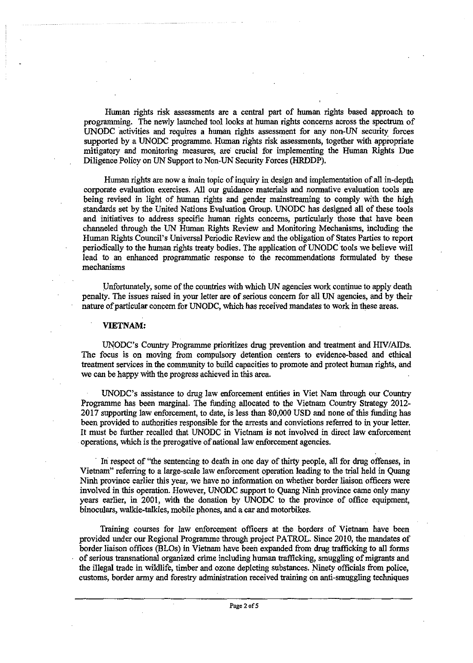Human rights risk assessments are a central part of human rights based approach to programming. The newly launched tool looks at human rights concerns across the spectrum of UNODC activities and requires a human rights assessment for any non-UN security forces supported by a UNODC programme. Human rights risk assessments, together with appropriate mitigatory and monitoring measures, are crucial for implementing the Human Rights Due Diligence Policy on UN Support to Non-UN Security Forces (HRDDP).

Human rights are now a main topic of inquiry in design and implementation of all in-depth corporate evaluation exercises. All our guidance materials and normative evaluation tools are being revised in light of human rights and gender mainstreaming to comply with the high standards set by the United Nations Evaluation Group. UNODC has designed all of these tools and initiatives to address specific human rights concerns, particularly those that have been channeled through the UN Human Rights Review and Monitoring Mechanisms, including the Human Rights Council's Universal Periodic Review and the obligation of States Parties to report periodically to the human rights treaty bodies. The application of UNODC tools we believe will lead to an enhanced programmatic response to the recommendations formulated by these mechanisms

Unfortunately, some of the countries with which UN agencies work continue to apply death penalty. The issues raised in your letter are of serious concern for all UN agencies, and by their nature of particular concern for UNODC, which has received mandates to work in these areas.

## **VIETNAM:**

UNODC's Country Programme prioritizes drug prevention and treatment and HIV/AIDs. The focus is on moving from compulsory detention centers to evidence-based and ethical treatment services in the community to build capacities to promote and protect human rights, and we can be happy with the progress achieved in this area.

UNODC's assistance to drug law enforcement entities in Viet Nam through our Country Programme has been marginal. The funding allocated to the Vietnam Country Strategy 2012- 2017 supporting law enforcement, to date, is less than 80,000 USD and none of this funding has been provided to authorities responsible for the arrests and convictions referred to in your letter. It must be further recalled that UNODC in Vietnam is not involved in direct law enforcement operations, which is the prerogative of national law enforcement agencies.

In respect of "the sentencing to death in one day of thirty people, all for drug offenses, in Vietnam" referring to a large-scale law enforcement operation leading to the trial held in Quang Ninh province earlier this year, we have no information on whether border liaison officers were involved in this operation. However, UNODC support to Quang Ninh province came only many years earlier, in 2001, with the donation by UNODC to the province of office equipment, binoculars, walkie-talkies, mobile phones, and a car and motorbikes.

Training courses for law enforcement officers at the borders of Vietnam have been provided under our Regional Programme through project PATROL. Since 2010, the mandates of border liaison offices (BLOs) in Vietnam have been expanded from drug trafficking to all forms of serious transnational organized crime including human trafficking, smuggling of migrants and the illegal trade in wildlife, timber and ozone depleting substances. Ninety officials from police, customs, border army and forestry administration received training on anti-smuggling techniques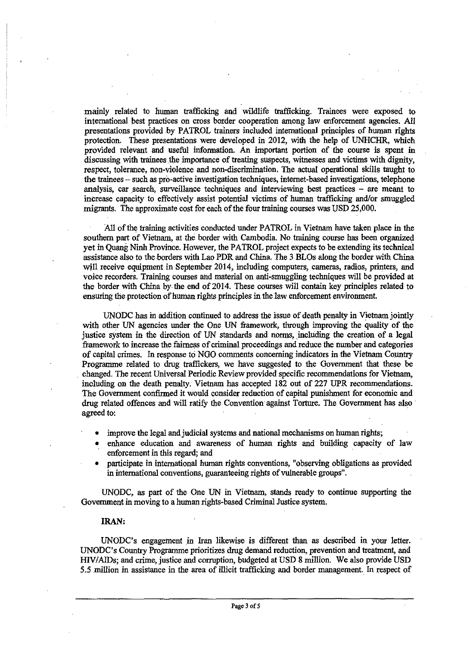mainly related to human trafficking and wildlife trafficking. Trainees were exposed to international best practices on cross border cooperation among law enforcement agencies. All presentations provided by PATROL trainers included international principles of human rights protection. These presentations were developed in 2012, with the help of UNHCHR, which provided relevant and useful information. An important portion of the course is spent in discussing with trainees the importance of treating suspects, witnesses and victims with dignity, respect, tolerance, non-violence and non-discrimination. The actual operational skills taught to the trainees- such as pro-active investigation techniques, internet-based investigations, telephone analysis, car search, surveillance techniques and interviewing best practices - are meant to increase capacity to effectively assist potential victims of human trafficking and/or smuggled migrants. The approximate cost for each of the four training courses was USD 25,000.

All of the training activities conducted under PATROL in Vietnam have taken place in the southern part of Vietnam, at the border with Cambodia. No training course has been organized yet in Quang. Ninh Province. However, the PATROL project expects to be extending its technical assistance also to the borders with Lao PDR and China. The 3 BLOs along the border with China. will receive equipment in September 2014, including computers, cameras, radios, printers, and voice recorders. Training courses ahd material on anti-smuggling techniques will be provided at the border with China by the end of 2014. These courses will contain key principles related to ensuring the protection of human rights principles in the law enforcement environment.

UNODC has in addition continued to address the issue of death penalty in Vietnam jointly with other UN agencies under the One UN framework, through improving the quality of the justice system in the direction of UN standards and norms, including the creation of a legal framework to increase the fairness of criminal proceedings and reduce the number and categories of capital crimes. In response to NGO comments concerning indicators in the Vietnam Country Programme related to drug traffickers, we have suggested to the Government that these be . changed. The recent Universal Periodic Review provided specific recommendations for Vietnam, including on the death penalty. Vietnam has accepted 182 out of 227 UPR recommendations. The Government confirmed it would consider reduction of capital punishment for econoruic and drug related offences and will ratify the Convention against Torture. The Government has also agreed to:

- improve the legal and judicial systems and national mechanisms on human rights;
- enhance education and awareness of human rights and building capacity of law enforcement in this regard; and
- participate in international human rights conventions, "observing obligations as provided in international conventions, guaranteeing rights of vulnerable groups".

UNODC, as part of the One UN in Vietnam, stands ready to continue supporting the Government in moving to a human rights-based Criminal Justice system.

## IRAN:

UNODC's engagement in Iran likewise is different than as described in your letter. UNODC's Country Programme prioritizes drug demand reduction, prevention and treatment, and HIV/AIDs; and crime, justice and corruption, budgeted at USD 8 ruillion. We also provide USD 5.5 million in assistance in the area of illicit trafficking and border management. In respect of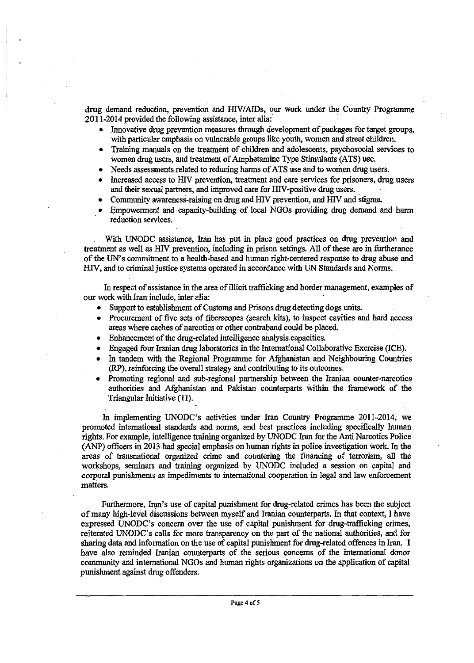drug demand reduction, prevention and HIV/AIDs, our work under the Country Programme 2011-2014 provided the following assistance, inter alia:

- Innovative drug prevention measures through development of packages for target groups, with particular emphasis on vulnerable groups like youth, women and street children.
- Training manuals on the treatment of children and adolescents, psychosocial services to women drug users, and treatment of Amphetamine Type Stimulants (ATS) use.
- Needs assessments related to reducing harms of ATS use and to women drug users.
- Increased access to HIV prevention, treatment and care services for prisoners, drug users and their sexual partners, and improved care for HIV-positive drug users.
- Community awareness-raising on drug and HIV prevention, and HIV and stigma.
- Empowerment and capacity-building of local NGOs providing drug demand and harm reduction services.

With UNODC assistance, Iran has put in place good practices on drug prevention and treatment as well as HIV prevention, Including in prison settings. All of these are in furtherance of the UN's commitment to a health-based and human right-centered response to drug abuse and HIV, and to criminal justice systems operated in accordance with UN Standards and Norms.

In respect of assistance in the area of illicit trafficking and border management, examples of our work with Iran include, inter alia:

- Support to establishment of Customs and Prisons drug detecting dogs units.
- Procurement of five sets of fiberscopes (search kits), to inspect cavities and hard access areas where caches of narcotics or other contraband could be placed.
- Enhancement of the drug-related intelligence analysis capacities.
- Engaged four Iranian drug laboratories in the International Collaborative Exercise (ICE).
- In tandem with the Regional Programme for Afghanistan and Neighbouring Countries (RP), reinforcing the overall strategy and contributing to its outcomes.
- Promoting regional and sub-regional partnership between the Iranian counter-narcotics authorities and Afghanistan and Pakistan · counterparts Within the framework of the Triangular Initiative (TI).

In implementing UNODC's activities under Iran Country Programme 2011-2014, we promoted international standards and norms, and best practices including specifically human . rights: For example, intelligence training organized by UNODC Iran for the Anti Narcotics Police (ANP) officers in 2013 had special emphasis on human rights in police investigation work. In the areas of transnational organized crime and countering the fmancing of terrorism, all the workshops, seminars and training organized by UNODC included a session on capital and corporal punishments as impediments to international cooperation in legal and law enforcement matters.

Furthermore, Iran's use of capital punishment for drug-related crimes has been the subject of many high-level discussions between myself and Iranian counterparts. In that context, I have expressed UNODC's concern over the use of capital punishment for drug-trafficking crimes, reiterated UNODC's calls for more transparency on the part of the national authorities, and for sharing data and information on the use of capital punishment for drug-related offences in Iran. I have also reminded Iranian counterparts of the serious concerns of the international donor community and international NGOs and human rights organizations on the application of capital punishment against drug offenders.